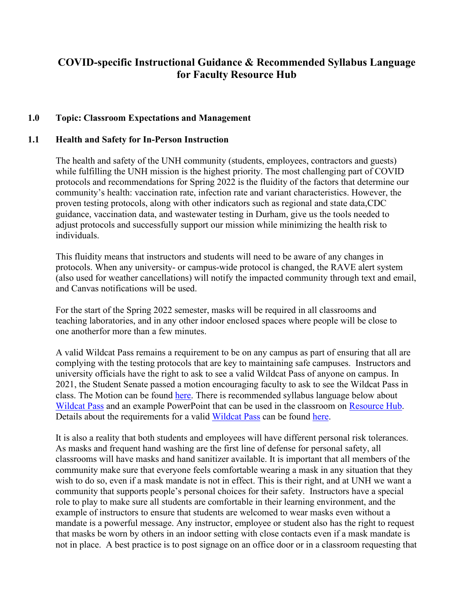# **COVID-specific Instructional Guidance & Recommended Syllabus Language for Faculty Resource Hub**

## **1.0 Topic: Classroom Expectations and Management**

#### **1.1 Health and Safety for In-Person Instruction**

The health and safety of the UNH community (students, employees, contractors and guests) while fulfilling the UNH mission is the highest priority. The most challenging part of COVID protocols and recommendations for Spring 2022 is the fluidity of the factors that determine our community's health: vaccination rate, infection rate and variant characteristics. However, the proven testing protocols, along with other indicators such as regional and state data,CDC guidance, vaccination data, and wastewater testing in Durham, give us the tools needed to adjust protocols and successfully support our mission while minimizing the health risk to individuals.

This fluidity means that instructors and students will need to be aware of any changes in protocols. When any university- or campus-wide protocol is changed, the RAVE alert system (also used for weather cancellations) will notify the impacted community through text and email, and Canvas notifications will be used.

For the start of the Spring 2022 semester, masks will be required in all classrooms and teaching laboratories, and in any other indoor enclosed spaces where people will be close to one anotherfor more than a few minutes.

A valid Wildcat Pass remains a requirement to be on any campus as part of ensuring that all are complying with the testing protocols that are key to maintaining safe campuses. Instructors and university officials have the right to ask to see a valid Wildcat Pass of anyone on campus. In 2021, the Student Senate passed a motion encouraging faculty to ask to see the Wildcat Pass in class. The Motion can be found [here.](https://unh.app.box.com/v/StudentSenateResolutionIndex/file/793387019957) There is recommended syllabus language below about [Wildcat Pass](https://nam12.safelinks.protection.outlook.com/?url=https%3A%2F%2Fcovid-19.unh.edu%2Fwildcatpass&data=04%7C01%7CRobin.Pelechowicz%40unh.edu%7C6c0bec2e2c9e46b57bfc08d95d9cadf5%7Cd6241893512d46dc8d2bbe47e25f5666%7C0%7C0%7C637643749783540745%7CUnknown%7CTWFpbGZsb3d8eyJWIjoiMC4wLjAwMDAiLCJQIjoiV2luMzIiLCJBTiI6Ik1haWwiLCJXVCI6Mn0%3D%7C1000&sdata=H%2FC696rHcNeBrctiU6p%2FFUV%2FcWDu8J7u%2BKvDfytBgOY%3D&reserved=0) and an example PowerPoint that can be used in the classroom on [Resource Hub.](https://www.unh.edu/provost/guidance-fall-2020-instruction) Details about the requirements for a valid [Wildcat](https://nam12.safelinks.protection.outlook.com/?url=https%3A%2F%2Fcovid-19.unh.edu%2Fwildcatpass&data=04%7C01%7CRobin.Pelechowicz%40unh.edu%7C6c0bec2e2c9e46b57bfc08d95d9cadf5%7Cd6241893512d46dc8d2bbe47e25f5666%7C0%7C0%7C637643749783540745%7CUnknown%7CTWFpbGZsb3d8eyJWIjoiMC4wLjAwMDAiLCJQIjoiV2luMzIiLCJBTiI6Ik1haWwiLCJXVCI6Mn0%3D%7C1000&sdata=H%2FC696rHcNeBrctiU6p%2FFUV%2FcWDu8J7u%2BKvDfytBgOY%3D&reserved=0) Pass can be found [here.](https://nam12.safelinks.protection.outlook.com/?url=https%3A%2F%2Fwww.unh.edu%2Fcoronavirus%2Fdurham-campus-fall-semester-arrival-covid-19-testing&data=04%7C01%7CRobin.Pelechowicz%40unh.edu%7C6c0bec2e2c9e46b57bfc08d95d9cadf5%7Cd6241893512d46dc8d2bbe47e25f5666%7C0%7C0%7C637643749783540745%7CUnknown%7CTWFpbGZsb3d8eyJWIjoiMC4wLjAwMDAiLCJQIjoiV2luMzIiLCJBTiI6Ik1haWwiLCJXVCI6Mn0%3D%7C1000&sdata=tHZ%2BsKS9VliIS7kyAS6UwCqGrsIVxTPI5Me%2Fq7MZ2Xo%3D&reserved=0)

It is also a reality that both students and employees will have different personal risk tolerances. As masks and frequent hand washing are the first line of defense for personal safety, all classrooms will have masks and hand sanitizer available. It is important that all members of the community make sure that everyone feels comfortable wearing a mask in any situation that they wish to do so, even if a mask mandate is not in effect. This is their right, and at UNH we want a community that supports people's personal choices for their safety. Instructors have a special role to play to make sure all students are comfortable in their learning environment, and the example of instructors to ensure that students are welcomed to wear masks even without a mandate is a powerful message. Any instructor, employee or student also has the right to request that masks be worn by others in an indoor setting with close contacts even if a mask mandate is not in place. A best practice is to post signage on an office door or in a classroom requesting that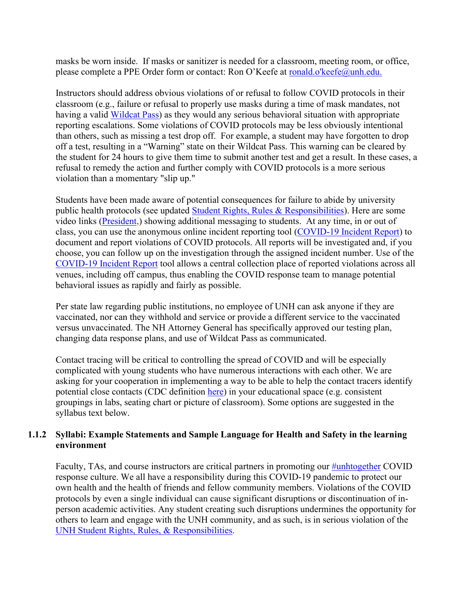masks be worn inside. If masks or sanitizer is needed for a classroom, meeting room, or office, please complete a PPE Order form or contact: Ron O'Keefe at [ronald.o'keefe@unh.edu.](mailto:ronald.o%27keefe@unh.edu)

Instructors should address obvious violations of or refusal to follow COVID protocols in their classroom (e.g., failure or refusal to properly use masks during a time of mask mandates, not having a valid [Wildcat Pass\)](https://nam12.safelinks.protection.outlook.com/?url=https%3A%2F%2Fcovid-19.unh.edu%2Fwildcatpass&data=04%7C01%7CRobin.Pelechowicz%40unh.edu%7C6c0bec2e2c9e46b57bfc08d95d9cadf5%7Cd6241893512d46dc8d2bbe47e25f5666%7C0%7C0%7C637643749783540745%7CUnknown%7CTWFpbGZsb3d8eyJWIjoiMC4wLjAwMDAiLCJQIjoiV2luMzIiLCJBTiI6Ik1haWwiLCJXVCI6Mn0%3D%7C1000&sdata=H%2FC696rHcNeBrctiU6p%2FFUV%2FcWDu8J7u%2BKvDfytBgOY%3D&reserved=0) as they would any serious behavioral situation with appropriate reporting escalations. Some violations of COVID protocols may be less obviously intentional than others, such as missing a test drop off. For example, a student may have forgotten to drop off a test, resulting in a "Warning" state on their Wildcat Pass. This warning can be cleared by the student for 24 hours to give them time to submit another test and get a result. In these cases, a refusal to remedy the action and further comply with COVID protocols is a more serious violation than a momentary "slip up."

Students have been made aware of potential consequences for failure to abide by university public health protocols (see updated [Student Rights, Rules & Responsibilities\)](https://www.unh.edu/dean-of-students/processes-policies-protocols/student-rights-rules-responsibilities). Here are some video links [\(President,\)](https://www.youtube.com/watch?v=U5SkshJnq2M) showing additional messaging to students. At any time, in or out of class, you can use the anonymous online incident reporting tool [\(COVID-19 Incident Report\)](https://tinyurl.com/UNHCovid) to document and report violations of COVID protocols. All reports will be investigated and, if you choose, you can follow up on the investigation through the assigned incident number. Use of the [COVID-19 Incident Report](https://tinyurl.com/UNHCovid) tool allows a central collection place of reported violations across all venues, including off campus, thus enabling the COVID response team to manage potential behavioral issues as rapidly and fairly as possible.

Per state law regarding public institutions, no employee of UNH can ask anyone if they are vaccinated, nor can they withhold and service or provide a different service to the vaccinated versus unvaccinated. The NH Attorney General has specifically approved our testing plan, changing data response plans, and use of Wildcat Pass as communicated.

Contact tracing will be critical to controlling the spread of COVID and will be especially complicated with young students who have numerous interactions with each other. We are asking for your cooperation in implementing a way to be able to help the contact tracers identify potential close contacts (CDC definition [here\)](https://www.cdc.gov/coronavirus/2019-ncov/php/public-health-recommendations.html) in your educational space (e.g. consistent groupings in labs, seating chart or picture of classroom). Some options are suggested in the syllabus text below.

## **1.1.2 Syllabi: Example Statements and Sample Language for Health and Safety in the learning environment**

Faculty, TAs, and course instructors are critical partners in promoting our [#unhtogether](https://www.unh.edu/coronavirus/unh-together) COVID response culture. We all have a responsibility during this COVID-19 pandemic to protect our own health and the health of friends and fellow community members. Violations of the COVID protocols by even a single individual can cause significant disruptions or discontinuation of inperson academic activities. Any student creating such disruptions undermines the opportunity for others to learn and engage with the UNH community, and as such, is in serious violation of the UNH [Student Rights, Rules, & Responsibilities.](https://www.unh.edu/dean-of-students/sites/default/files/media/2021-08/21-22-srrr-final.pdf)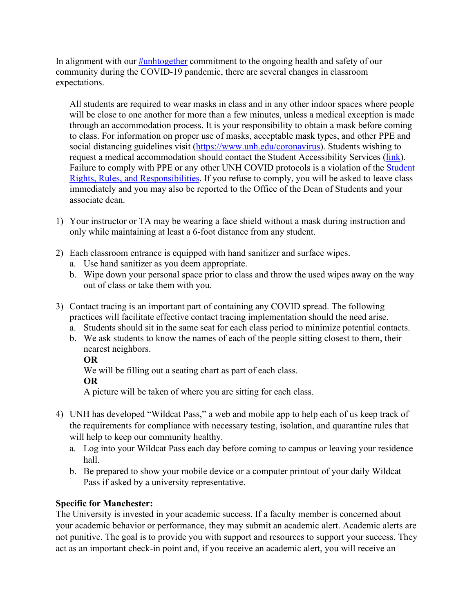In alignment with our [#unhtogether](https://www.unh.edu/coronavirus/unh-together) commitment to the ongoing health and safety of our community during the COVID-19 pandemic, there are several changes in classroom expectations.

All students are required to wear masks in class and in any other indoor spaces where people will be close to one another for more than a few minutes, unless a medical exception is made through an accommodation process. It is your responsibility to obtain a mask before coming to class. For information on proper use of masks, acceptable mask types, and other PPE and social distancing guidelines visit [\(https://www.unh.edu/coronavirus\)](https://www.unh.edu/coronavirus). Students wishing to request a medical accommodation should contact the Student Accessibility Services [\(link\)](https://www.unh.edu/studentaccessibility). Failure to comply with PPE or any other UNH COVID protocols is a violation of the [Student](https://www.unh.edu/student-life/student-rights-rules-responsibilities) [Rights, Rules, and Responsibilities.](https://www.unh.edu/student-life/student-rights-rules-responsibilities) If you refuse to comply, you will be asked to leave class immediately and you may also be reported to the Office of the Dean of Students and your associate dean.

- 1) Your instructor or TA may be wearing a face shield without a mask during instruction and only while maintaining at least a 6-foot distance from any student.
- 2) Each classroom entrance is equipped with hand sanitizer and surface wipes.
	- a. Use hand sanitizer as you deem appropriate.
	- b. Wipe down your personal space prior to class and throw the used wipes away on the way out of class or take them with you.
- 3) Contact tracing is an important part of containing any COVID spread. The following practices will facilitate effective contact tracing implementation should the need arise.
	- a. Students should sit in the same seat for each class period to minimize potential contacts.
	- b. We ask students to know the names of each of the people sitting closest to them, their nearest neighbors.

**OR**

We will be filling out a seating chart as part of each class.

# **OR**

A picture will be taken of where you are sitting for each class.

- 4) UNH has developed "Wildcat Pass," a web and mobile app to help each of us keep track of the requirements for compliance with necessary testing, isolation, and quarantine rules that will help to keep our community healthy.
	- a. Log into your Wildcat Pass each day before coming to campus or leaving your residence hall.
	- b. Be prepared to show your mobile device or a computer printout of your daily Wildcat Pass if asked by a university representative.

# **Specific for Manchester:**

The University is invested in your academic success. If a faculty member is concerned about your academic behavior or performance, they may submit an academic alert. Academic alerts are not punitive. The goal is to provide you with support and resources to support your success. They act as an important check-in point and, if you receive an academic alert, you will receive an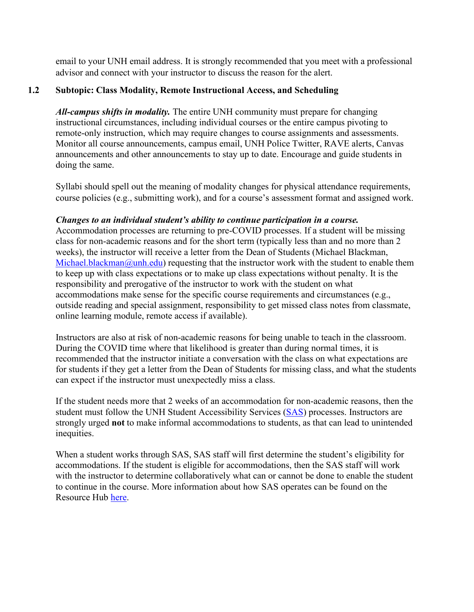email to your UNH email address. It is strongly recommended that you meet with a professional advisor and connect with your instructor to discuss the reason for the alert.

# **1.2 Subtopic: Class Modality, Remote Instructional Access, and Scheduling**

*All-campus shifts in modality.* The entire UNH community must prepare for changing instructional circumstances, including individual courses or the entire campus pivoting to remote-only instruction, which may require changes to course assignments and assessments. Monitor all course announcements, campus email, UNH Police Twitter, RAVE alerts, Canvas announcements and other announcements to stay up to date. Encourage and guide students in doing the same.

Syllabi should spell out the meaning of modality changes for physical attendance requirements, course policies (e.g., submitting work), and for a course's assessment format and assigned work.

## *Changes to an individual student's ability to continue participation in a course.*

Accommodation processes are returning to pre-COVID processes. If a student will be missing class for non-academic reasons and for the short term (typically less than and no more than 2 weeks), the instructor will receive a letter from the Dean of Students (Michael Blackman, [Michael.blackman@unh.edu\)](mailto:michael.blackman@unh.edu) requesting that the instructor work with the student to enable them to keep up with class expectations or to make up class expectations without penalty. It is the responsibility and prerogative of the instructor to work with the student on what accommodations make sense for the specific course requirements and circumstances (e.g., outside reading and special assignment, responsibility to get missed class notes from classmate, online learning module, remote access if available).

Instructors are also at risk of non-academic reasons for being unable to teach in the classroom. During the COVID time where that likelihood is greater than during normal times, it is recommended that the instructor initiate a conversation with the class on what expectations are for students if they get a letter from the Dean of Students for missing class, and what the students can expect if the instructor must unexpectedly miss a class.

If the student needs more that 2 weeks of an accommodation for non-academic reasons, then the student must follow the UNH Student Accessibility Services [\(SAS\)](https://www.unh.edu/studentaccessibility/) processes. Instructors are strongly urged **not** to make informal accommodations to students, as that can lead to unintended inequities.

When a student works through SAS, SAS staff will first determine the student's eligibility for accommodations. If the student is eligible for accommodations, then the SAS staff will work with the instructor to determine collaboratively what can or cannot be done to enable the student to continue in the course. More information about how SAS operates can be found on the Resource Hub [here.](https://www.unh.edu/provost/guidance-fall-2020-instruction)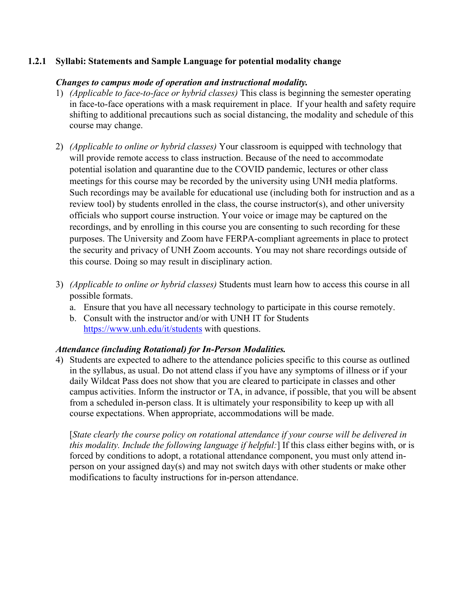## **1.2.1 Syllabi: Statements and Sample Language for potential modality change**

## *Changes to campus mode of operation and instructional modality.*

- 1) *(Applicable to face-to-face or hybrid classes)* This class is beginning the semester operating in face-to-face operations with a mask requirement in place. If your health and safety require shifting to additional precautions such as social distancing, the modality and schedule of this course may change.
- 2) *(Applicable to online or hybrid classes)* Your classroom is equipped with technology that will provide remote access to class instruction. Because of the need to accommodate potential isolation and quarantine due to the COVID pandemic, lectures or other class meetings for this course may be recorded by the university using UNH media platforms. Such recordings may be available for educational use (including both for instruction and as a review tool) by students enrolled in the class, the course instructor(s), and other university officials who support course instruction. Your voice or image may be captured on the recordings, and by enrolling in this course you are consenting to such recording for these purposes. The University and Zoom have FERPA-compliant agreements in place to protect the security and privacy of UNH Zoom accounts. You may not share recordings outside of this course. Doing so may result in disciplinary action.
- 3) *(Applicable to online or hybrid classes)* Students must learn how to access this course in all possible formats.
	- a. Ensure that you have all necessary technology to participate in this course remotely.
	- b. Consult with the instructor and/or with UNH IT for Students <https://www.unh.edu/it/students> with questions.

#### *Attendance (including Rotational) for In-Person Modalities.*

4) Students are expected to adhere to the attendance policies specific to this course as outlined in the syllabus, as usual. Do not attend class if you have any symptoms of illness or if your daily Wildcat Pass does not show that you are cleared to participate in classes and other campus activities. Inform the instructor or TA, in advance, if possible, that you will be absent from a scheduled in-person class. It is ultimately your responsibility to keep up with all course expectations. When appropriate, accommodations will be made.

[*State clearly the course policy on rotational attendance if your course will be delivered in this modality. Include the following language if helpful:*] If this class either begins with, or is forced by conditions to adopt, a rotational attendance component, you must only attend inperson on your assigned day(s) and may not switch days with other students or make other modifications to faculty instructions for in-person attendance.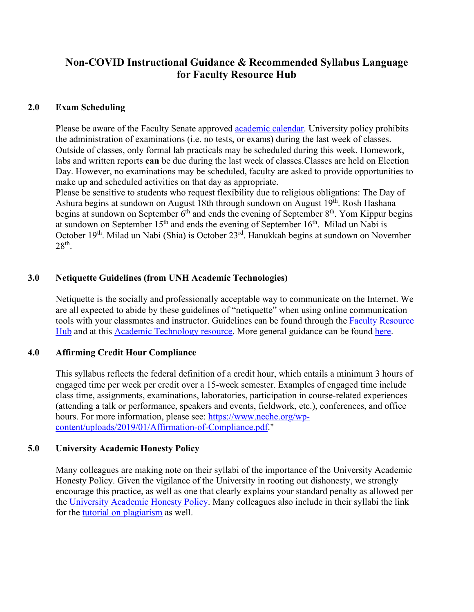# **Non-COVID Instructional Guidance & Recommended Syllabus Language for Faculty Resource Hub**

## **2.0 Exam Scheduling**

Please be aware of the Faculty Senate approved [academic calendar.](https://catalog.unh.edu/undergraduate/academic-calendar/) University policy prohibits the administration of examinations (i.e. no tests, or exams) during the last week of classes. Outside of classes, only formal lab practicals may be scheduled during this week. Homework, labs and written reports **can** be due during the last week of classes. Classes are held on Election Day. However, no examinations may be scheduled, faculty are asked to provide opportunities to make up and scheduled activities on that day as appropriate.

Please be sensitive to students who request flexibility due to religious obligations: The Day of Ashura begins at sundown on August 18th through sundown on August 19<sup>th</sup>. Rosh Hashana begins at sundown on September 6<sup>th</sup> and ends the evening of September 8<sup>th</sup>. Yom Kippur begins at sundown on September  $15<sup>th</sup>$  and ends the evening of September  $16<sup>th</sup>$ . Milad un Nabi is October 19th. Milad un Nabi (Shia) is October 23rd. Hanukkah begins at sundown on November 28th.

# **3.0 Netiquette Guidelines (from UNH Academic Technologies)**

Netiquette is the socially and professionally acceptable way to communicate on the Internet. We are all expected to abide by these guidelines of "netiquette" when using online communication tools with your classmates and instructor. Guidelines can be found through the Faculty [Resource](https://www.unh.edu/provost/guidance-fall-2020-instruction) [Hub](https://www.unh.edu/provost/guidance-fall-2020-instruction) and at this Academic [Technology](https://www.unh.edu/it/academic-technology) resource. More general guidance can be found [here.](https://www.educatorstechnology.com/2014/06/15-essential-netiquette-guidelines-to.html)

# **4.0 Affirming Credit Hour Compliance**

This syllabus reflects the federal definition of a credit hour, which entails a minimum 3 hours of engaged time per week per credit over a 15-week semester. Examples of engaged time include class time, assignments, examinations, laboratories, participation in course-related experiences (attending a talk or performance, speakers and events, fieldwork, etc.), conferences, and office hours. For more information, please see: [https://www.neche.org/wp](https://www.neche.org/wp-content/uploads/2019/01/Affirmation-of-Compliance.pdf)[content/uploads/2019/01/Affirmation-of-Compliance.pdf.](https://www.neche.org/wp-content/uploads/2019/01/Affirmation-of-Compliance.pdf)"

#### **5.0 University Academic Honesty Policy**

Many colleagues are making note on their syllabi of the importance of the University Academic Honesty Policy. Given the vigilance of the University in rooting out dishonesty, we strongly encourage this practice, as well as one that clearly explains your standard penalty as allowed per the [University Academic Honesty Policy.](https://www.unh.edu/student-life/academic-honesty-policy) Many colleagues also include in their syllabi the link for the [tutorial on plagiarism](https://cola.unh.edu/academics/plagiarism-tutorial) as well.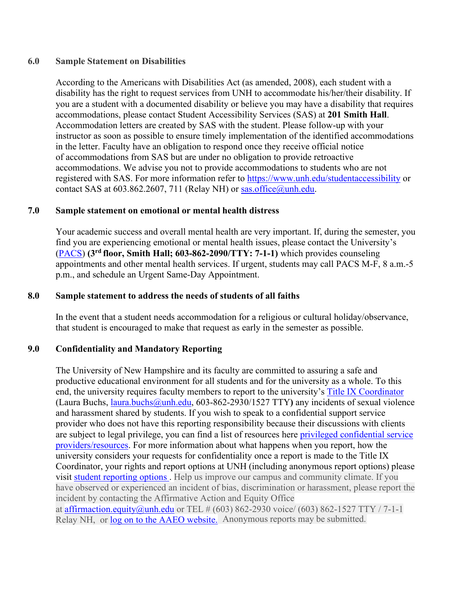### **6.0 Sample Statement on Disabilities**

According to the Americans with Disabilities Act (as amended, 2008), each student with a disability has the right to request services from UNH to accommodate his/her/their disability. If you are a student with a documented disability or believe you may have a disability that requires accommodations, please contact Student Accessibility Services (SAS) at **201 Smith Hall**. Accommodation letters are created by SAS with the student. Please follow-up with your instructor as soon as possible to ensure timely implementation of the identified accommodations in the letter. Faculty have an obligation to respond once they receive official notice of accommodations from SAS but are under no obligation to provide retroactive accommodations. We advise you not to provide accommodations to students who are not registered with SAS. For more information refer to<https://www.unh.edu/studentaccessibility> or contact SAS at 603.862.2607, 711 (Relay NH) or [sas.office@unh.edu.](mailto:sas.office@unh.edu)

# **7.0 Sample statement on emotional or mental health distress**

Your academic success and overall mental health are very important. If, during the semester, you find you are experiencing emotional or mental health issues, please contact the University's [\(PACS\)](https://www.unh.edu/pacs/) **(3rd floor, Smith Hall; 603-862-2090/TTY: 7-1-1)** which provides counseling appointments and other mental health services. If urgent, students may call PACS M-F, 8 a.m.-5 p.m., and schedule an Urgent Same-Day Appointment.

## **8.0 Sample statement to address the needs of students of all faiths**

In the event that a student needs accommodation for a religious or cultural holiday/observance, that student is encouraged to make that request as early in the semester as possible.

# **9.0 Confidentiality and Mandatory Reporting**

Relay NH, or [log on to the](https://www.unh.edu/affirmativeaction/incident-report-form-about) AAEO website. Anonymous reports may be submitted. The University of New Hampshire and its faculty are committed to assuring a safe and productive educational environment for all students and for the university as a whole. To this end, the university requires faculty members to report to the university's [Title IX Coordinator](https://www.unh.edu/affirmativeaction/title-ixsexual-violence) (Laura Buchs, [laura.buchs@unh.edu,](mailto:laura.buchs@unh.edu) 603-862-2930/1527 TTY**)** any incidents of sexual violence and harassment shared by students. If you wish to speak to a confidential support service provider who does not have this reporting responsibility because their discussions with clients are subject to legal privilege, you can find a list of resources here [privileged confidential service](https://www.unh.edu/affirmativeaction/privileged-confidential-support-services) [providers/resources. F](https://www.unh.edu/affirmativeaction/privileged-confidential-support-services)or more information about what happens when you report, how the university considers your requests for confidentiality once a report is made to the Title IX Coordinator, your rights and report options at UNH (including anonymous report options) please visit [student reporting options .](https://www.unh.edu/affirmativeaction/reporting-students) Help us improve our campus and community climate. If you have observed or experienced an incident of bias, discrimination or harassment, please report the incident by contacting the Affirmative Action and Equity Office at [affirmaction.equity@unh.edu](mailto:affirmaction.equity@unh.edu) or TEL  $\# (603) 862-2930$  voice/ (603) 862-1527 TTY / 7-1-1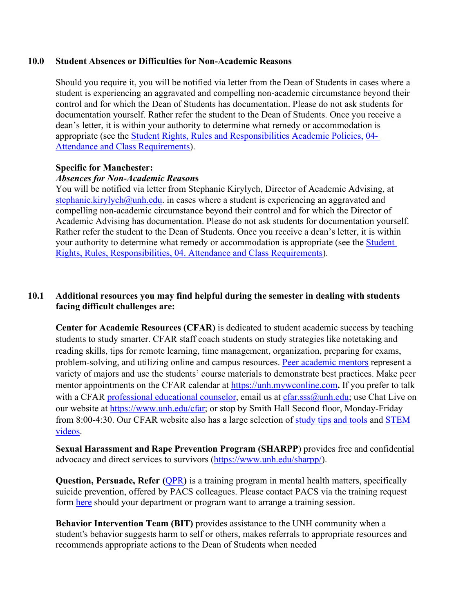#### **10.0 Student Absences or Difficulties for Non-Academic Reasons**

Should you require it, you will be notified via letter from the Dean of Students in cases where a student is experiencing an aggravated and compelling non-academic circumstance beyond their control and for which the Dean of Students has documentation. Please do not ask students for documentation yourself. Rather refer the student to the Dean of Students. Once you receive a dean's letter, it is within your authority to determine what remedy or accommodation is appropriate (see the [Student Rights, Rules and Responsibilities Academic Policies,](https://www.unh.edu/dean-of-students/sites/default/files/media/2021-08/21-22-srrr-final.pdf) 04- Attendance and [Class Requirements\)](https://www.unh.edu/dean-of-students/sites/default/files/media/2021-08/21-22-srrr-final.pdf).

#### **Specific for Manchester:**

#### *Absences for Non-Academic Reason***s**

You will be notified via letter from Stephanie Kirylych, Director of Academic Advising, at [stephanie.kirylych@unh.edu.](mailto:stephanie.kirylych@unh.edu) in cases where a student is experiencing an aggravated and compelling non-academic circumstance beyond their control and for which the Director of Academic Advising has documentation. Please do not ask students for documentation yourself. Rather refer the student to the Dean of Students. Once you receive a dean's letter, it is within your authority to determine what remedy or accommodation is appropriate (see the [Student](https://www.unh.edu/dean-of-students/sites/default/files/media/2021-08/21-22-srrr-final.pdf)  [Rights, Rules, Responsibilities, 04. Attendance and Class Requirements\)](https://www.unh.edu/dean-of-students/sites/default/files/media/2021-08/21-22-srrr-final.pdf).

## **10.1 Additional resources you may find helpful during the semester in dealing with students facing difficult challenges are:**

**Center for Academic Resources (CFAR)** is dedicated to student academic success by teaching students to study smarter. CFAR staff coach students on study strategies like notetaking and reading skills, tips for remote learning, time management, organization, preparing for exams, problem-solving, and utilizing online and campus resources. [Peer academic mentors](https://nam12.safelinks.protection.outlook.com/?url=https%3A%2F%2Fwww.unh.edu%2Fcfar%2Facademic-mentors&data=04%7C01%7CKatherine.Ziemer%40unh.edu%7C4bf41e15c506465164b008d959201ec1%7Cd6241893512d46dc8d2bbe47e25f5666%7C0%7C0%7C637638816744668617%7CUnknown%7CTWFpbGZsb3d8eyJWIjoiMC4wLjAwMDAiLCJQIjoiV2luMzIiLCJBTiI6Ik1haWwiLCJXVCI6Mn0%3D%7C1000&sdata=SbEz%2FFvYzkNM6ejfT7T1ABcBhogghDj9ExLzNTC0GT4%3D&reserved=0) represent a variety of majors and use the students' course materials to demonstrate best practices. Make peer mentor appointments on the CFAR calendar at [https://unh.mywconline.com](https://nam12.safelinks.protection.outlook.com/?url=https%3A%2F%2Funh.mywconline.com%2F&data=04%7C01%7CKatherine.Ziemer%40unh.edu%7C4bf41e15c506465164b008d959201ec1%7Cd6241893512d46dc8d2bbe47e25f5666%7C0%7C0%7C637638816744673595%7CUnknown%7CTWFpbGZsb3d8eyJWIjoiMC4wLjAwMDAiLCJQIjoiV2luMzIiLCJBTiI6Ik1haWwiLCJXVCI6Mn0%3D%7C1000&sdata=W4j2pLQoGbytcDpsLes%2FWIWG09CYkfK1hBdbtn2aVzQ%3D&reserved=0)**.** If you prefer to talk with a CFAR [professional](https://nam12.safelinks.protection.outlook.com/?url=https%3A%2F%2Fwww.unh.edu%2Fcfar%2Fdrop-meetings-cfar&data=04%7C01%7CKatherine.Ziemer%40unh.edu%7C4bf41e15c506465164b008d959201ec1%7Cd6241893512d46dc8d2bbe47e25f5666%7C0%7C0%7C637638816744678576%7CUnknown%7CTWFpbGZsb3d8eyJWIjoiMC4wLjAwMDAiLCJQIjoiV2luMzIiLCJBTiI6Ik1haWwiLCJXVCI6Mn0%3D%7C1000&sdata=6vYgShH3MBV4Bfsepo%2FB%2FZwYszaaXRghw3ACPCCVLAk%3D&reserved=0) educational counselor, email us at  $cfar.sss@unh.edu;$  use Chat Live on our website at [https://www.unh.edu/cfar;](https://nam12.safelinks.protection.outlook.com/?url=https%3A%2F%2Fwww.unh.edu%2Fcfar&data=04%7C01%7CKatherine.Ziemer%40unh.edu%7C4bf41e15c506465164b008d959201ec1%7Cd6241893512d46dc8d2bbe47e25f5666%7C0%7C0%7C637638816744683557%7CUnknown%7CTWFpbGZsb3d8eyJWIjoiMC4wLjAwMDAiLCJQIjoiV2luMzIiLCJBTiI6Ik1haWwiLCJXVCI6Mn0%3D%7C1000&sdata=yHft7wQzWLnaW8xEUTPdKzEZ9oTeQuUndb8l9uSotm0%3D&reserved=0) or stop by Smith Hall Second floor, Monday-Friday from 8:00-4:30. Our CFAR website also has a large selection of [study tips and tools](https://nam12.safelinks.protection.outlook.com/?url=https%3A%2F%2Fwww.unh.edu%2Fcfar%2Fstudy-tips-and-tools-0&data=04%7C01%7CKatherine.Ziemer%40unh.edu%7C4bf41e15c506465164b008d959201ec1%7Cd6241893512d46dc8d2bbe47e25f5666%7C0%7C0%7C637638816744688529%7CUnknown%7CTWFpbGZsb3d8eyJWIjoiMC4wLjAwMDAiLCJQIjoiV2luMzIiLCJBTiI6Ik1haWwiLCJXVCI6Mn0%3D%7C1000&sdata=2%2F7jcBwdGHbdqjKEJpI%2FtCSNm8nK5tAEc3UYseDphAQ%3D&reserved=0) and [STEM](https://nam12.safelinks.protection.outlook.com/?url=https%3A%2F%2Fwww.unh.edu%2Fcfar%2Fstem-resources&data=04%7C01%7CKatherine.Ziemer%40unh.edu%7C4bf41e15c506465164b008d959201ec1%7Cd6241893512d46dc8d2bbe47e25f5666%7C0%7C0%7C637638816744693506%7CUnknown%7CTWFpbGZsb3d8eyJWIjoiMC4wLjAwMDAiLCJQIjoiV2luMzIiLCJBTiI6Ik1haWwiLCJXVCI6Mn0%3D%7C1000&sdata=0cCbL5ubvvtTfZ%2BWf9f%2BIktZg%2F%2BGpeKkqAl2aS1W7xo%3D&reserved=0) [videos.](https://nam12.safelinks.protection.outlook.com/?url=https%3A%2F%2Fwww.unh.edu%2Fcfar%2Fstem-resources&data=04%7C01%7CKatherine.Ziemer%40unh.edu%7C4bf41e15c506465164b008d959201ec1%7Cd6241893512d46dc8d2bbe47e25f5666%7C0%7C0%7C637638816744693506%7CUnknown%7CTWFpbGZsb3d8eyJWIjoiMC4wLjAwMDAiLCJQIjoiV2luMzIiLCJBTiI6Ik1haWwiLCJXVCI6Mn0%3D%7C1000&sdata=0cCbL5ubvvtTfZ%2BWf9f%2BIktZg%2F%2BGpeKkqAl2aS1W7xo%3D&reserved=0)

**Sexual Harassment and Rape Prevention Program (SHARPP**) provides free and confidential advocacy and direct services to survivors [\(https://www.unh.edu/sharpp/\)](https://www.unh.edu/sharpp/).

**Question, Persuade, Refer ([QPR](https://www.unh.edu/pacs/suicide-prevention/qpr-suicide-prevention-training#%3A%7E%3Atext%3DQPR%2C%20which%20stands%20for%20Question%2Cmedical%20or%20mental%20health%20care))** is a training program in mental health matters, specifically suicide prevention, offered by PACS colleagues. Please contact PACS via the training request form [here](https://www.unh.edu/pacs/suicide-prevention/qpr-suicide-prevention-training) should your department or program want to arrange a training session.

**Behavior Intervention Team (BIT)** provides assistance to the UNH community when a student's behavior suggests harm to self or others, makes referrals to appropriate resources and recommends appropriate actions to the Dean of Students when needed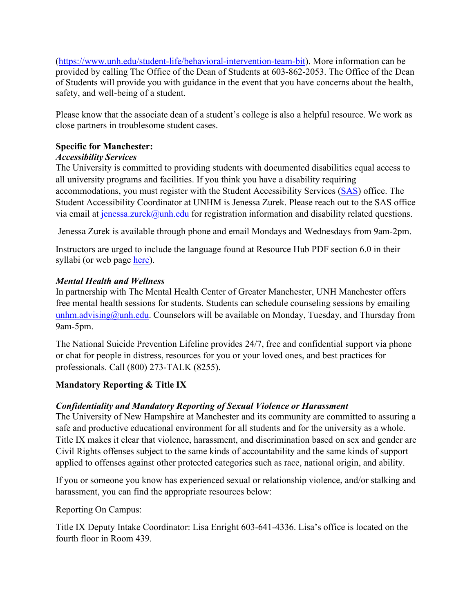[\(https://www.unh.edu/student-life/behavioral-intervention-team-bit\)](https://www.unh.edu/student-life/behavioral-intervention-team-bit). More information can be provided by calling The Office of the Dean of Students at 603-862-2053. The Office of the Dean of Students will provide you with guidance in the event that you have concerns about the health, safety, and well-being of a student.

Please know that the associate dean of a student's college is also a helpful resource. We work as close partners in troublesome student cases.

# **Specific for Manchester:**

# *Accessibility Services*

The University is committed to providing students with documented disabilities equal access to all university programs and facilities. If you think you have a disability requiring accommodations, you must register with the Student Accessibility Services [\(SAS\)](https://manchester.unh.edu/academics/academic-services/student-accessibility-services) office. The Student Accessibility Coordinator at UNHM is Jenessa Zurek. Please reach out to the SAS office via email at  $j$ enessa.zurek@unh.edu for registration information and disability related questions.

Jenessa Zurek is available through phone and email Mondays and Wednesdays from 9am-2pm.

Instructors are urged to include the language found at Resource Hub PDF section 6.0 in their syllabi (or web page [here\)](https://www.unh.edu/provost/guidance-fall-2020-instruction).

# *Mental Health and Wellness*

In partnership with The Mental Health Center of Greater Manchester, UNH Manchester offers free mental health sessions for students. Students can schedule counseling sessions by emailing [unhm.advising@unh.edu.](mailto:unhm.advising@unh.edu) Counselors will be available on Monday, Tuesday, and Thursday from 9am-5pm.

The National Suicide Prevention Lifeline provides 24/7, free and confidential support via phone or chat for people in distress, resources for you or your loved ones, and best practices for professionals. Call (800) 273-TALK (8255).

# **Mandatory Reporting & Title IX**

# *Confidentiality and Mandatory Reporting of Sexual Violence or Harassment*

The University of New Hampshire at Manchester and its community are committed to assuring a safe and productive educational environment for all students and for the university as a whole. Title IX makes it clear that violence, harassment, and discrimination based on sex and gender are Civil Rights offenses subject to the same kinds of accountability and the same kinds of support applied to offenses against other protected categories such as race, national origin, and ability.

If you or someone you know has experienced sexual or relationship violence, and/or stalking and harassment, you can find the appropriate resources below:

Reporting On Campus:

Title IX Deputy Intake Coordinator: Lisa Enright 603-641-4336. Lisa's office is located on the fourth floor in Room 439.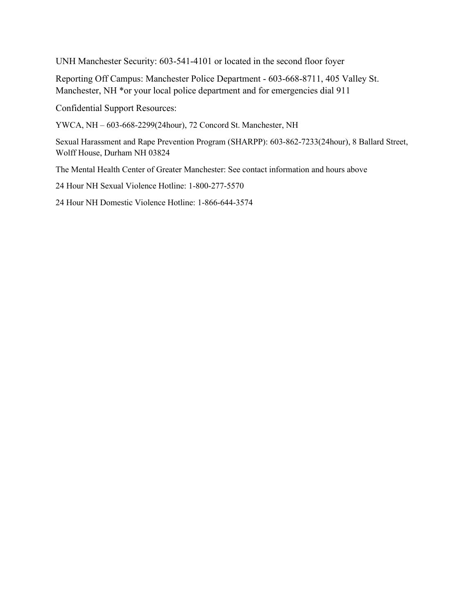UNH Manchester Security: 603-541-4101 or located in the second floor foyer

Reporting Off Campus: Manchester Police Department - 603-668-8711, 405 Valley St. Manchester, NH \*or your local police department and for emergencies dial 911

Confidential Support Resources:

YWCA, NH – 603-668-2299(24hour), 72 Concord St. Manchester, NH

Sexual Harassment and Rape Prevention Program (SHARPP): 603-862-7233(24hour), 8 Ballard Street, Wolff House, Durham NH 03824

The Mental Health Center of Greater Manchester: See contact information and hours above

24 Hour NH Sexual Violence Hotline: 1-800-277-5570

24 Hour NH Domestic Violence Hotline: 1-866-644-3574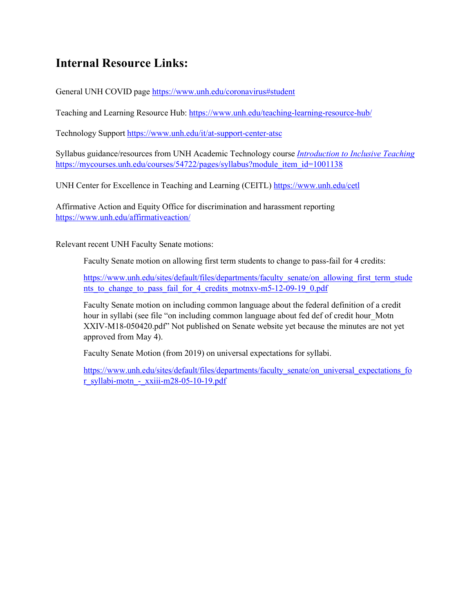# **Internal Resource Links:**

General UNH COVID page https:/[/www.unh.edu/coronavirus#student](http://www.unh.edu/coronavirus#student)

Teaching and Learning Resource Hub: https:/[/www.unh.edu/teaching-learning-resource-hub/](http://www.unh.edu/teaching-learning-resource-hub/)

Technology Support https:/[/www.unh.edu/it/at-support-center-atsc](http://www.unh.edu/it/at-support-center-atsc)

Syllabus guidance/resources from UNH Academic Technology course *Introduction to Inclusive Teaching* https://mycourses.unh.edu/courses/54722/pages/syllabus?module\_item\_id=1001138

UNH Center for Excellence in Teaching and Learning (CEITL) https:/[/www.unh.edu/cetl](http://www.unh.edu/cetl)

Affirmative Action and Equity Office for discrimination and harassment reporting https[://www.unh.edu/affirmativeaction/](http://www.unh.edu/affirmativeaction/)

Relevant recent UNH Faculty Senate motions:

Faculty Senate motion on allowing first term students to change to pass-fail for 4 credits:

https:/[/www.unh.edu/sites/default/files/departments/faculty\\_senate/on\\_allowing\\_first\\_term\\_stude](http://www.unh.edu/sites/default/files/departments/faculty_senate/on_allowing_first_term_stude) nts to change to pass fail for 4 credits motnxv-m5-12-09-19 0.pdf

Faculty Senate motion on including common language about the federal definition of a credit hour in syllabi (see file "on including common language about fed def of credit hour Motn XXIV-M18-050420.pdf" Not published on Senate website yet because the minutes are not yet approved from May 4).

Faculty Senate Motion (from 2019) on universal expectations for syllabi.

https:/[/www.unh.edu/sites/default/files/departments/faculty\\_senate/on\\_universal\\_expectations\\_fo](http://www.unh.edu/sites/default/files/departments/faculty_senate/on_universal_expectations_fo)  $r$  syllabi-motn - xxiii-m28-05-10-19.pdf